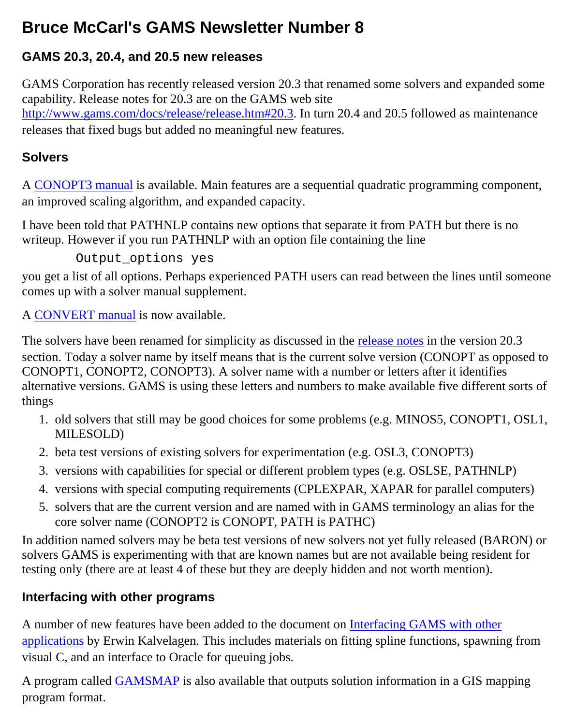# **Bruce McCarl's GAMS Newsletter Number 8**

# **GAMS 20.3, 20.4, and 20.5 new releases**

GAMS Corporation has recently released version 20.3 that renamed some solvers and expanded some capability. Release notes for 20.3 are on the GAMS web site <http://www.gams.com/docs/release/release.htm#20.3>. In turn 20.4 and 20.5 followed as maintenance releases that fixed bugs but added no meaningful new features.

#### **Solvers**

A [CONOPT3 manual](http://www.gams.com/docs/conopt3.pdf) is available. Main features are a sequential quadratic programming component, an improved scaling algorithm, and expanded capacity.

I have been told that PATHNLP contains new options that separate it from PATH but there is no writeup. However if you run PATHNLP with an option file containing the line

Output options yes

you get a list of all options. Perhaps experienced PATH users can read between the lines until someone comes up with a solver manual supplement.

A [CONVERT manual](http://www.gams.com/docs/contributed/convert.pdf) is now available.

The solvers have been renamed for simplicity as discussed in the [release notes](http://www.gams.com/docs/release/release.htm#20.3) in the version 20.3 section. Today a solver name by itself means that is the current solve version (CONOPT as opposed to CONOPT1, CONOPT2, CONOPT3). A solver name with a number or letters after it identifies alternative versions. GAMS is using these letters and numbers to make available five different sorts of things

- 1. old solvers that still may be good choices for some problems (e.g. MINOS5, CONOPT1, OSL1, MILESOLD)
- 2. beta test versions of existing solvers for experimentation (e.g. OSL3, CONOPT3)
- 3. versions with capabilities for special or different problem types (e.g. OSLSE, PATHNLP)
- 4. versions with special computing requirements (CPLEXPAR, XAPAR for parallel computers)
- 5. solvers that are the current version and are named with in GAMS terminology an alias for the core solver name (CONOPT2 is CONOPT, PATH is PATHC)

In addition named solvers may be beta test versions of new solvers not yet fully released (BARON) or solvers GAMS is experimenting with that are known names but are not available being resident for testing only (there are at least 4 of these but they are deeply hidden and not worth mention).

#### **Interfacing with other programs**

A number of new features have been added to the document on [Interfacing GAMS with other](http://www.gams.com/interface/interface.html) [applications](http://www.gams.com/interface/interface.html) by Erwin Kalvelagen. This includes materials on fitting spline functions, spawning from visual C, and an interface to Oracle for queuing jobs.

A program called [GAMSMAP](http://www.gams.com/contrib/gamsmap/index.htm) is also available that outputs solution information in a GIS mapping program format.